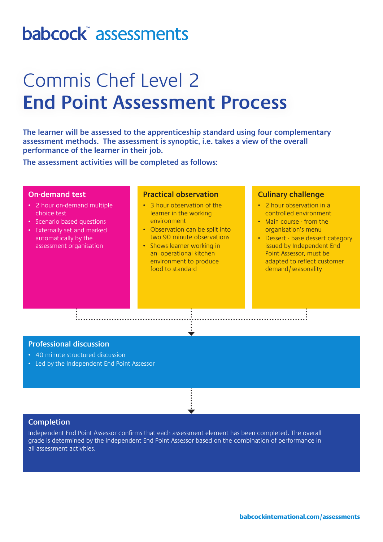# babcock assessments

## Commis Chef Level 2 **End Point Assessment Process**

**The learner will be assessed to the apprenticeship standard using four complementary assessment methods. The assessment is synoptic, i.e. takes a view of the overall performance of the learner in their job.** 

**The assessment activities will be completed as follows:**

### **On-demand test**

- 2 hour on-demand multiple choice test
- Scenario based questions
- Externally set and marked automatically by the assessment organisation

### **Practical observation**

- 3 hour observation of the learner in the working environment
- Observation can be split into two 90 minute observations
- Shows learner working in an operational kitchen environment to produce food to standard

#### **Culinary challenge**

- 2 hour observation in a controlled environment
- Main course from the organisation's menu
- Dessert base dessert category issued by Independent End Point Assessor, must be adapted to reflect customer demand/seasonality

## **Professional discussion**

- 40 minute structured discussion
- Led by the Independent End Point Assessor

. . . . . . . . . . . . . . . . . . .

### **Completion**

Independent End Point Assessor confirms that each assessment element has been completed. The overall grade is determined by the Independent End Point Assessor based on the combination of performance in all assessment activities.